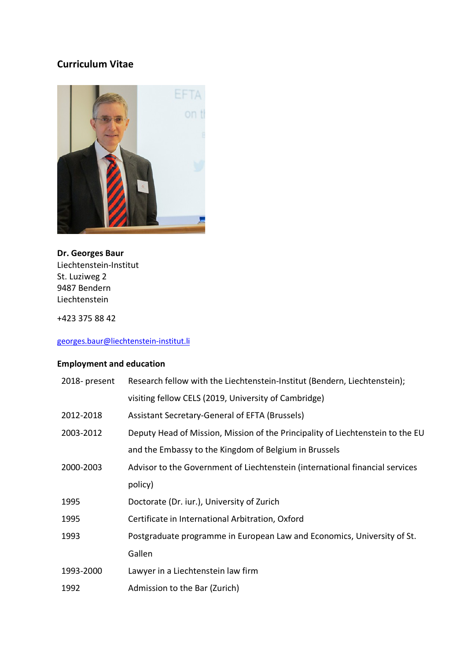# **Curriculum Vitae**



### **Dr. Georges Baur** Liechtenstein-Institut St. Luziweg 2 9487 Bendern Liechtenstein

+423 375 88 42

## georges.baur@liechtenstein-institut.li

# **Employment and education**

| 2018-present | Research fellow with the Liechtenstein-Institut (Bendern, Liechtenstein);      |
|--------------|--------------------------------------------------------------------------------|
|              | visiting fellow CELS (2019, University of Cambridge)                           |
| 2012-2018    | Assistant Secretary-General of EFTA (Brussels)                                 |
| 2003-2012    | Deputy Head of Mission, Mission of the Principality of Liechtenstein to the EU |
|              | and the Embassy to the Kingdom of Belgium in Brussels                          |
| 2000-2003    | Advisor to the Government of Liechtenstein (international financial services   |
|              | policy)                                                                        |
| 1995         | Doctorate (Dr. iur.), University of Zurich                                     |
| 1995         | Certificate in International Arbitration, Oxford                               |
| 1993         | Postgraduate programme in European Law and Economics, University of St.        |
|              | Gallen                                                                         |
| 1993-2000    | Lawyer in a Liechtenstein law firm                                             |
| 1992         | Admission to the Bar (Zurich)                                                  |